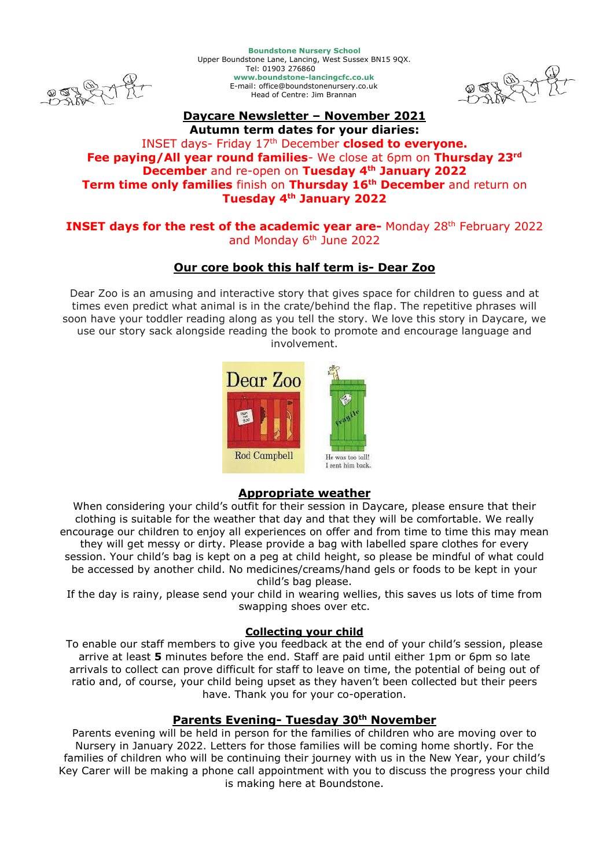

**Boundstone Nursery School** Upper Boundstone Lane, Lancing, West Sussex BN15 9QX. Tel: 01903 276860 **www.boundstone-lancingcfc.co.uk** E-mail: office@boundstonenursery.co.uk Head of Centre: Jim Brannan



#### **Daycare Newsletter – November 2021 Autumn term dates for your diaries:**

# INSET days- Friday 17th December **closed to everyone. Fee paying/All year round families**- We close at 6pm on **Thursday 23rd December** and re-open on **Tuesday 4th January 2022 Term time only families** finish on **Thursday 16 th December** and return on **Tuesday 4th January 2022**

### **INSET days for the rest of the academic year are-** Monday 28<sup>th</sup> February 2022 and Monday 6<sup>th</sup> June 2022

# **Our core book this half term is- Dear Zoo**

Dear Zoo is an amusing and interactive story that gives space for children to guess and at times even predict what animal is in the crate/behind the flap. The repetitive phrases will soon have your toddler reading along as you tell the story. We love this story in Daycare, we use our story sack alongside reading the book to promote and encourage language and involvement.



# **Appropriate weather**

When considering your child's outfit for their session in Daycare, please ensure that their clothing is suitable for the weather that day and that they will be comfortable. We really encourage our children to enjoy all experiences on offer and from time to time this may mean they will get messy or dirty. Please provide a bag with labelled spare clothes for every session. Your child's bag is kept on a peg at child height, so please be mindful of what could be accessed by another child. No medicines/creams/hand gels or foods to be kept in your child's bag please.

If the day is rainy, please send your child in wearing wellies, this saves us lots of time from swapping shoes over etc.

### **Collecting your child**

To enable our staff members to give you feedback at the end of your child's session, please arrive at least **5** minutes before the end. Staff are paid until either 1pm or 6pm so late arrivals to collect can prove difficult for staff to leave on time, the potential of being out of ratio and, of course, your child being upset as they haven't been collected but their peers have. Thank you for your co-operation.

# **Parents Evening- Tuesday 30th November**

Parents evening will be held in person for the families of children who are moving over to Nursery in January 2022. Letters for those families will be coming home shortly. For the families of children who will be continuing their journey with us in the New Year, your child's Key Carer will be making a phone call appointment with you to discuss the progress your child is making here at Boundstone.